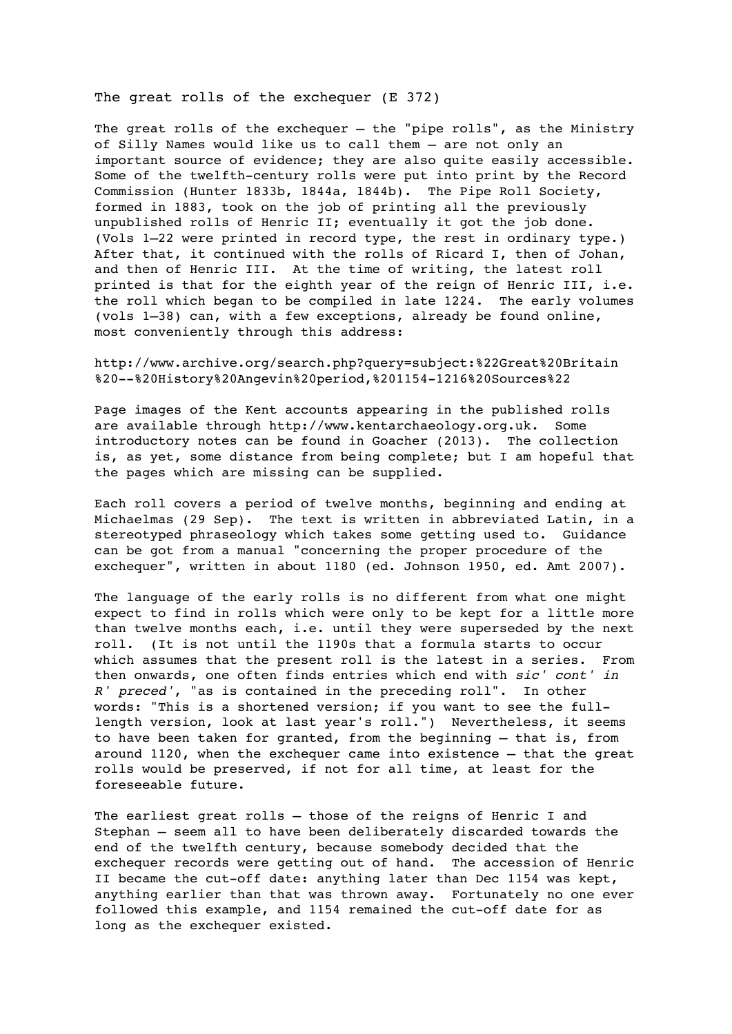The great rolls of the exchequer (E 372)

The great rolls of the exchequer  $-$  the "pipe rolls", as the Ministry of Silly Names would like us to call them – are not only an important source of evidence; they are also quite easily accessible. Some of the twelfth-century rolls were put into print by the Record Commission (Hunter 1833b, 1844a, 1844b). The Pipe Roll Society, formed in 1883, took on the job of printing all the previously unpublished rolls of Henric II; eventually it got the job done. (Vols 1–22 were printed in record type, the rest in ordinary type.) After that, it continued with the rolls of Ricard I, then of Johan, and then of Henric III. At the time of writing, the latest roll printed is that for the eighth year of the reign of Henric III, i.e. the roll which began to be compiled in late 1224. The early volumes (vols 1–38) can, with a few exceptions, already be found online, most conveniently through this address:

http://www.archive.org/search.php?query=subject:%22Great%20Britain %20--%20History%20Angevin%20period,%201154-1216%20Sources%22

Page images of the Kent accounts appearing in the published rolls are available through http://www.kentarchaeology.org.uk. Some introductory notes can be found in Goacher (2013). The collection is, as yet, some distance from being complete; but I am hopeful that the pages which are missing can be supplied.

Each roll covers a period of twelve months, beginning and ending at Michaelmas (29 Sep). The text is written in abbreviated Latin, in a stereotyped phraseology which takes some getting used to. Guidance can be got from a manual "concerning the proper procedure of the exchequer", written in about 1180 (ed. Johnson 1950, ed. Amt 2007).

The language of the early rolls is no different from what one might expect to find in rolls which were only to be kept for a little more than twelve months each, i.e. until they were superseded by the next roll. (It is not until the 1190s that a formula starts to occur which assumes that the present roll is the latest in a series. From then onwards, one often finds entries which end with *sic' cont' in R' preced'*, "as is contained in the preceding roll". In other words: "This is a shortened version; if you want to see the fulllength version, look at last year's roll.") Nevertheless, it seems to have been taken for granted, from the beginning – that is, from around 1120, when the exchequer came into existence – that the great rolls would be preserved, if not for all time, at least for the foreseeable future.

The earliest great rolls - those of the reigns of Henric I and Stephan – seem all to have been deliberately discarded towards the end of the twelfth century, because somebody decided that the exchequer records were getting out of hand. The accession of Henric II became the cut-off date: anything later than Dec 1154 was kept, anything earlier than that was thrown away. Fortunately no one ever followed this example, and 1154 remained the cut-off date for as long as the exchequer existed.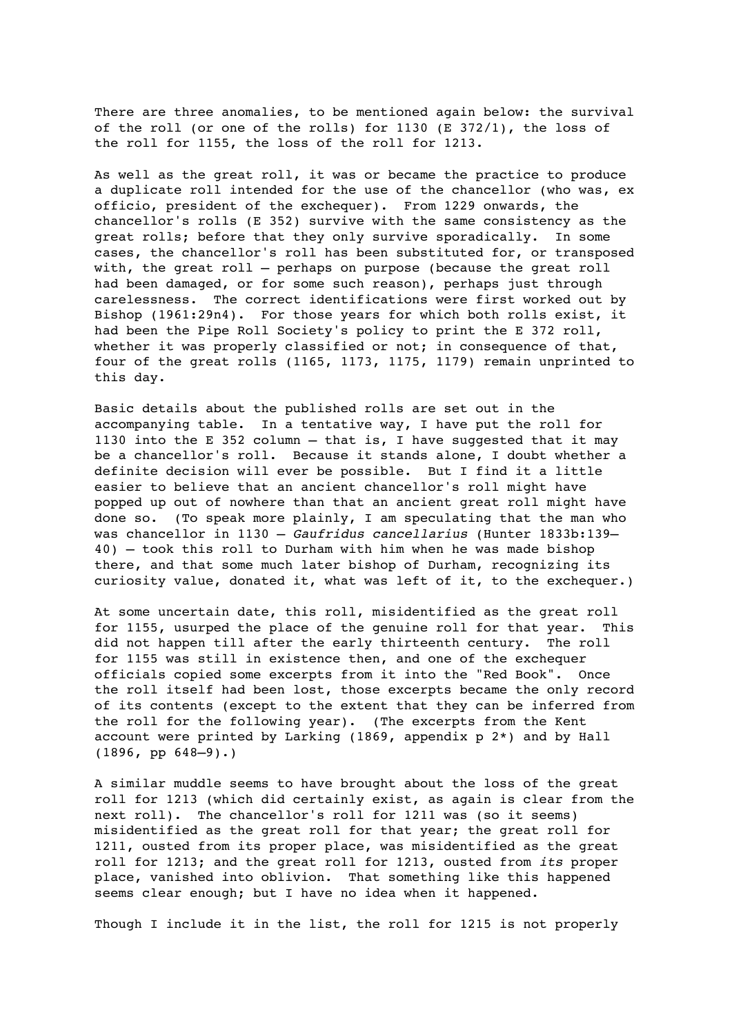There are three anomalies, to be mentioned again below: the survival of the roll (or one of the rolls) for 1130 (E 372/1), the loss of the roll for 1155, the loss of the roll for 1213.

As well as the great roll, it was or became the practice to produce a duplicate roll intended for the use of the chancellor (who was, ex officio, president of the exchequer). From 1229 onwards, the chancellor's rolls (E 352) survive with the same consistency as the great rolls; before that they only survive sporadically. In some cases, the chancellor's roll has been substituted for, or transposed with, the great roll – perhaps on purpose (because the great roll had been damaged, or for some such reason), perhaps just through carelessness. The correct identifications were first worked out by Bishop (1961:29n4). For those years for which both rolls exist, it had been the Pipe Roll Society's policy to print the E 372 roll, whether it was properly classified or not; in consequence of that, four of the great rolls (1165, 1173, 1175, 1179) remain unprinted to this day.

Basic details about the published rolls are set out in the accompanying table. In a tentative way, I have put the roll for 1130 into the E 352 column  $-$  that is, I have suggested that it may be a chancellor's roll. Because it stands alone, I doubt whether a definite decision will ever be possible. But I find it a little easier to believe that an ancient chancellor's roll might have popped up out of nowhere than that an ancient great roll might have done so. (To speak more plainly, I am speculating that the man who was chancellor in 1130 – *Gaufridus cancellarius* (Hunter 1833b:139– 40) – took this roll to Durham with him when he was made bishop there, and that some much later bishop of Durham, recognizing its curiosity value, donated it, what was left of it, to the exchequer.)

At some uncertain date, this roll, misidentified as the great roll for 1155, usurped the place of the genuine roll for that year. This did not happen till after the early thirteenth century. The roll for 1155 was still in existence then, and one of the exchequer officials copied some excerpts from it into the "Red Book". Once the roll itself had been lost, those excerpts became the only record of its contents (except to the extent that they can be inferred from the roll for the following year). (The excerpts from the Kent account were printed by Larking (1869, appendix  $p \nightharpoonup x$ ) and by Hall  $(1896, pp 648-9)$ .)

A similar muddle seems to have brought about the loss of the great roll for 1213 (which did certainly exist, as again is clear from the next roll). The chancellor's roll for 1211 was (so it seems) misidentified as the great roll for that year; the great roll for 1211, ousted from its proper place, was misidentified as the great roll for 1213; and the great roll for 1213, ousted from *its* proper place, vanished into oblivion. That something like this happened seems clear enough; but I have no idea when it happened.

Though I include it in the list, the roll for 1215 is not properly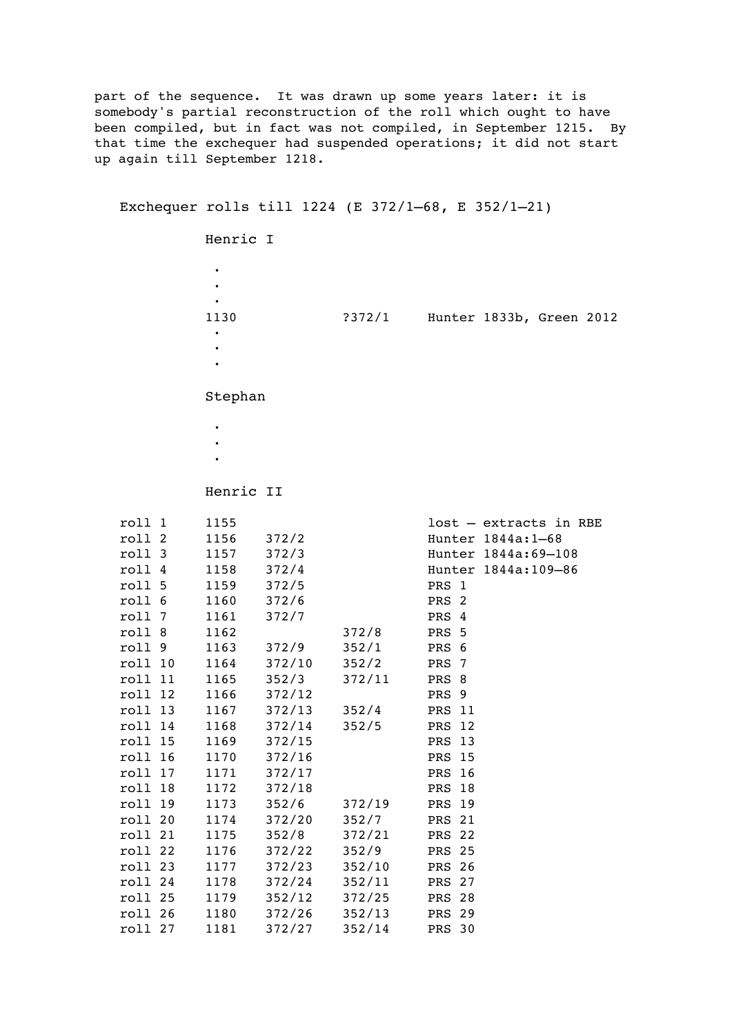part of the sequence. It was drawn up some years later: it is somebody's partial reconstruction of the roll which ought to have been compiled, but in fact was not compiled, in September 1215. By that time the exchequer had suspended operations; it did not start up again till September 1218.

## Exchequer rolls till 1224 (E 372/1–68, E 352/1–21)

Henric I

·

 · · 1130 ?372/1 Hunter 1833b, Green 2012 · · ·

Stephan

- ·
- ·
- ·
- Henric II

|         | roll 1  | 1155       |                   |                           |               | lost - extracts in RBE |
|---------|---------|------------|-------------------|---------------------------|---------------|------------------------|
|         | roll 2  | 1156 372/2 |                   |                           |               | Hunter 1844a: 1-68     |
|         | roll 3  | 1157 372/3 |                   |                           |               | Hunter 1844a: 69-108   |
|         | roll 4  | 1158 372/4 |                   |                           |               | Hunter 1844a:109-86    |
|         | roll 5  | 1159 372/5 |                   |                           | PRS 1         |                        |
|         | roll 6  | 1160 372/6 |                   |                           | PRS 2         |                        |
| roll 7  |         | 1161 372/7 |                   |                           | PRS 4         |                        |
| roll 8  |         | 1162       |                   | 372/8                     | PRS 5         |                        |
|         | roll 9  |            | 1163 372/9        | 352/1                     | PRS 6         |                        |
| roll 10 |         | 1164       |                   | 372/10 352/2              | PRS 7         |                        |
|         | roll 11 |            |                   | $1165$ $352/3$ $372/11$   | PRS 8         |                        |
|         | roll 12 |            | 1166 372/12       |                           | PRS 9         |                        |
|         | roll 13 |            |                   | 1167 372/13 352/4         | <b>PRS 11</b> |                        |
|         | roll 14 |            |                   | 1168 372/14 352/5         | PRS 12        |                        |
| roll 15 |         |            | 1169 372/15       |                           | <b>PRS 13</b> |                        |
|         | roll 16 |            | 1170 372/16       |                           | <b>PRS 15</b> |                        |
|         | roll 17 |            | 1171 372/17       |                           | <b>PRS</b> 16 |                        |
|         | roll 18 |            | 1172 372/18       |                           | <b>PRS 18</b> |                        |
|         | roll 19 |            |                   | 1173 352/6 372/19 PRS 19  |               |                        |
|         | roll 20 |            | 1174 372/20 352/7 |                           | <b>PRS 21</b> |                        |
|         | roll 21 |            |                   | 1175 352/8 372/21 PRS 22  |               |                        |
| roll 22 |         |            | 1176 372/22 352/9 |                           | <b>PRS 25</b> |                        |
| roll 23 |         |            |                   | 1177 372/23 352/10        | <b>PRS 26</b> |                        |
|         | roll 24 |            |                   | 1178 372/24 352/11        | <b>PRS 27</b> |                        |
| roll 25 |         |            |                   | 1179 352/12 372/25        | <b>PRS 28</b> |                        |
| roll 26 |         |            |                   | 1180 372/26 352/13        | <b>PRS 29</b> |                        |
| roll 27 |         |            |                   | 1181 372/27 352/14 PRS 30 |               |                        |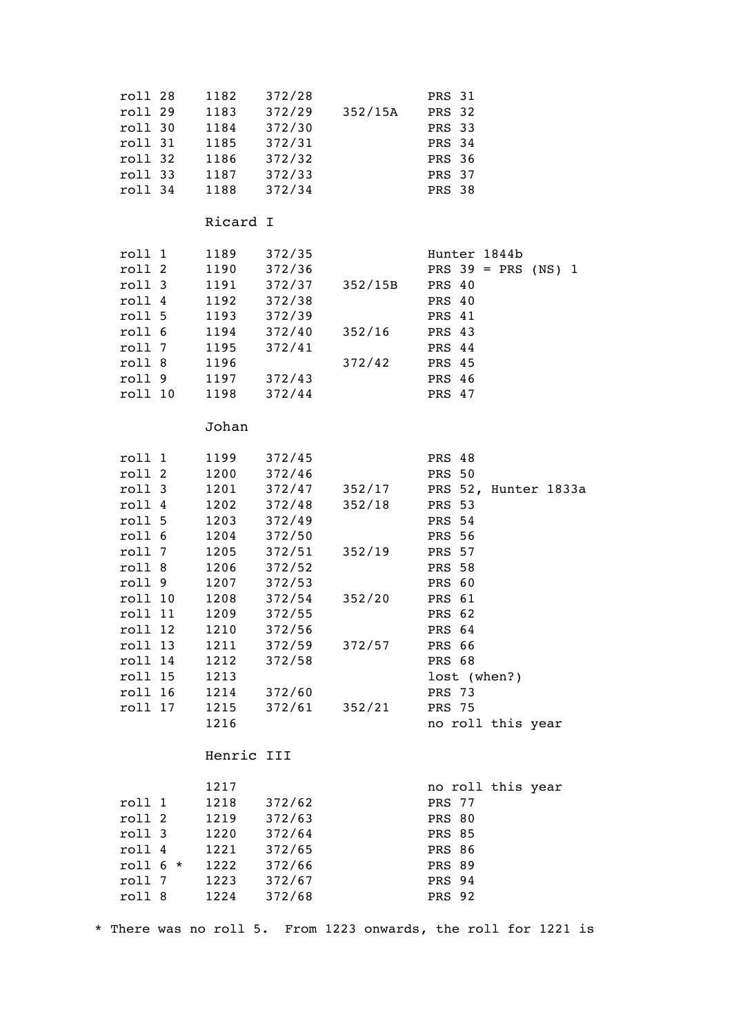| roll 28    | 1182        | 372/28             |                    | <b>PRS 31</b>         |
|------------|-------------|--------------------|--------------------|-----------------------|
| roll 29    | 1183        | $372/29$ $352/15A$ |                    | <b>PRS 32</b>         |
| roll 30    | 1184 372/30 |                    |                    | PRS 33                |
| roll 31    | 1185 372/31 |                    |                    | PRS 34                |
| roll 32    | 1186 372/32 |                    |                    | <b>PRS 36</b>         |
| roll 33    | 1187 372/33 |                    |                    | PRS 37                |
| roll 34    | 1188 372/34 |                    |                    | <b>PRS 38</b>         |
|            |             |                    |                    |                       |
|            | Ricard I    |                    |                    |                       |
| roll 1     |             | 1189 372/35        |                    | Hunter 1844b          |
| roll 2     |             | 1190 372/36        |                    | PRS $39 = PRS (NS) 1$ |
| roll 3     |             | 1191 372/37        | 352/15B            | PRS 40                |
| roll 4     | 1192 372/38 |                    |                    | PRS 40                |
| roll 5     | 1193 372/39 |                    |                    | PRS 41                |
| roll 6     |             | 1194 372/40        | 352/16             | PRS 43                |
| roll 7     | 1195 372/41 |                    |                    | PRS 44                |
| roll 8     | 1196        |                    | 372/42             | PRS 45                |
| roll 9     |             | 1197 372/43        |                    | PRS 46                |
| roll 10    | 1198 372/44 |                    |                    | PRS 47                |
|            |             |                    |                    |                       |
|            | Johan       |                    |                    |                       |
| roll 1     |             | 1199 372/45        |                    | PRS 48                |
| roll 2     | 1200 372/46 |                    |                    | <b>PRS 50</b>         |
| roll 3     |             |                    | 1201 372/47 352/17 | PRS 52, Hunter 1833a  |
| roll 4     |             | 1202 372/48        | 352/18             | <b>PRS 53</b>         |
| roll 5     |             | 1203 372/49        |                    | PRS 54                |
| roll 6     | 1204 372/50 |                    |                    | <b>PRS 56</b>         |
| roll 7     |             | 1205 372/51        | 352/19             | <b>PRS 57</b>         |
| roll 8     | 1206        | 372/52             |                    | <b>PRS 58</b>         |
| roll 9     | 1207        | 372/53             |                    | PRS 60                |
| roll 10    | 1208        | 372/54             | 352/20             | PRS 61                |
| roll 11    | 1209 372/55 |                    |                    | PRS 62                |
| roll 12    | 1210        | 372/56             |                    | PRS 64                |
| roll 13    | 1211        | 372/59             | 372/57             | PRS 66                |
| roll 14    | 1212        | 372/58             |                    | PRS 68                |
| roll 15    | 1213        |                    |                    | lost (when?)          |
| roll 16    | 1214        | 372/60             |                    | <b>PRS 73</b>         |
| roll 17    | 1215        | 372/61             | 352/21             | <b>PRS 75</b>         |
|            | 1216        |                    |                    | no roll this year     |
|            |             |                    |                    |                       |
|            | Henric III  |                    |                    |                       |
|            | 1217        |                    |                    | no roll this year     |
| roll 1     | 1218        | 372/62             |                    | PRS 77                |
| roll 2     | 1219        | 372/63             |                    | <b>PRS 80</b>         |
| roll 3     | 1220        | 372/64             |                    | <b>PRS 85</b>         |
| roll 4     | 1221        | 372/65             |                    | PRS 86                |
| roll $6 *$ | 1222        | 372/66             |                    | PRS 89                |
| roll 7     | 1223        | 372/67             |                    | PRS 94                |
| roll 8     | 1224        | 372/68             |                    | <b>PRS 92</b>         |
|            |             |                    |                    |                       |

\* There was no roll 5. From 1223 onwards, the roll for 1221 is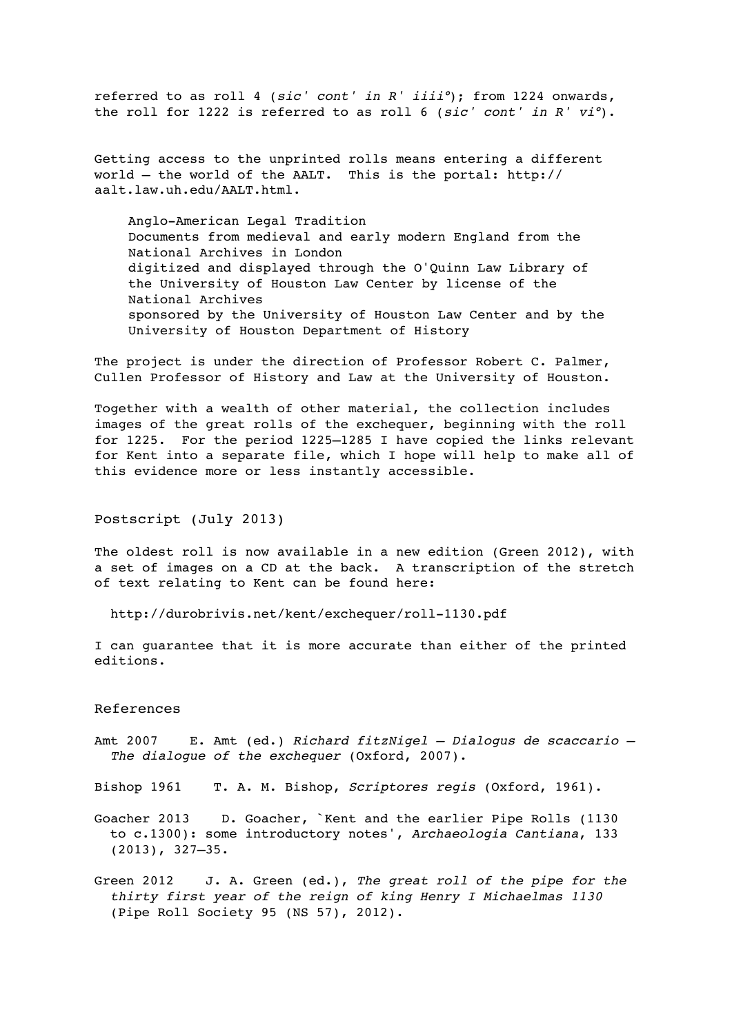referred to as roll 4 (*sic' cont' in R' iiii°*); from 1224 onwards, the roll for 1222 is referred to as roll 6 (*sic' cont' in R' vi°*).

Getting access to the unprinted rolls means entering a different world – the world of the AALT. This is the portal: http:// aalt.law.uh.edu/AALT.html.

Anglo-American Legal Tradition Documents from medieval and early modern England from the National Archives in London digitized and displayed through the O'Quinn Law Library of the University of Houston Law Center by license of the National Archives sponsored by the University of Houston Law Center and by the University of Houston Department of History

The project is under the direction of Professor Robert C. Palmer, Cullen Professor of History and Law at the University of Houston.

Together with a wealth of other material, the collection includes images of the great rolls of the exchequer, beginning with the roll for 1225. For the period 1225–1285 I have copied the links relevant for Kent into a separate file, which I hope will help to make all of this evidence more or less instantly accessible.

Postscript (July 2013)

The oldest roll is now available in a new edition (Green 2012), with a set of images on a CD at the back. A transcription of the stretch of text relating to Kent can be found here:

http://durobrivis.net/kent/exchequer/roll-1130.pdf

I can guarantee that it is more accurate than either of the printed editions.

## References

- Amt 2007 E. Amt (ed.) *Richard fitzNigel Dialogus de scaccario The dialogue of the exchequer* (Oxford, 2007).
- Bishop 1961 T. A. M. Bishop, *Scriptores regis* (Oxford, 1961).
- Goacher 2013 D. Goacher, `Kent and the earlier Pipe Rolls (1130 to c.1300): some introductory notes', *Archaeologia Cantiana*, 133 (2013), 327–35.
- Green 2012 J. A. Green (ed.), *The great roll of the pipe for the thirty first year of the reign of king Henry I Michaelmas 1130*  (Pipe Roll Society 95 (NS 57), 2012).